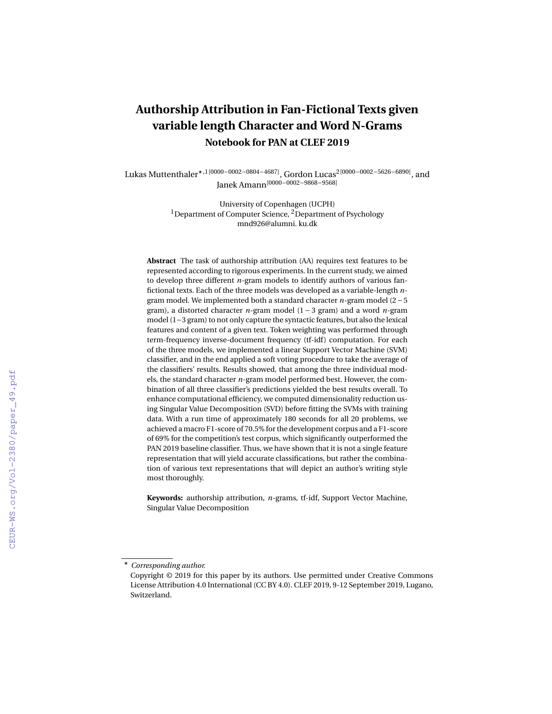# **Authorship Attribution in Fan-Fictional Texts given variable length Character and Word N-Grams Notebook for PAN at CLEF 2019**

Lukas Muttenthaler?,1[0000−0002−0804−4687], Gordon Lucas2[0000−0002−5626−6890], and Janek Amann[0000−0002−9868−9568]

> University of Copenhagen (UCPH) <sup>1</sup>Department of Computer Science,  $^{2}$ Department of Psychology mnd926@alumni. ku.dk

**Abstract** The task of authorship attribution (AA) requires text features to be represented according to rigorous experiments. In the current study, we aimed to develop three different *n*-gram models to identify authors of various fanfictional texts. Each of the three models was developed as a variable-length *n*gram model. We implemented both a standard character *n*-gram model (2−5 gram), a distorted character *n*-gram model (1 − 3 gram) and a word *n*-gram model (1−3 gram) to not only capture the syntactic features, but also the lexical features and content of a given text. Token weighting was performed through term-frequency inverse-document frequency (tf-idf) computation. For each of the three models, we implemented a linear Support Vector Machine (SVM) classifier, and in the end applied a soft voting procedure to take the average of the classifiers' results. Results showed, that among the three individual models, the standard character *n*-gram model performed best. However, the combination of all three classifier's predictions yielded the best results overall. To enhance computational efficiency, we computed dimensionality reduction using Singular Value Decomposition (SVD) before fitting the SVMs with training data. With a run time of approximately 180 seconds for all 20 problems, we achieved a macro F1-score of 70.5% for the development corpus and a F1-score of 69% for the competition's test corpus, which significantly outperformed the PAN 2019 baseline classifier. Thus, we have shown that it is not a single feature representation that will yield accurate classifications, but rather the combination of various text representations that will depict an author's writing style most thoroughly.

**Keywords:** authorship attribution, *n*-grams, tf-idf, Support Vector Machine, Singular Value Decomposition

<sup>?</sup> *Corresponding author.*

Copyright © 2019 for this paper by its authors. Use permitted under Creative Commons License Attribution 4.0 International (CC BY 4.0). CLEF 2019, 9-12 September 2019, Lugano, Switzerland.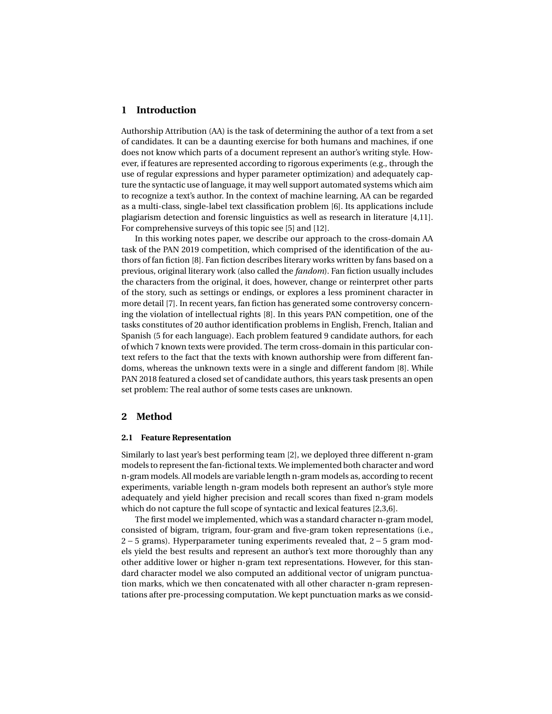# **1 Introduction**

Authorship Attribution (AA) is the task of determining the author of a text from a set of candidates. It can be a daunting exercise for both humans and machines, if one does not know which parts of a document represent an author's writing style. However, if features are represented according to rigorous experiments (e.g., through the use of regular expressions and hyper parameter optimization) and adequately capture the syntactic use of language, it may well support automated systems which aim to recognize a text's author. In the context of machine learning, AA can be regarded as a multi-class, single-label text classification problem [\[6\]](#page-8-0). Its applications include plagiarism detection and forensic linguistics as well as research in literature [\[4](#page-8-1)[,11\]](#page-8-2). For comprehensive surveys of this topic see [\[5\]](#page-8-3) and [\[12\]](#page-8-4).

In this working notes paper, we describe our approach to the cross-domain AA task of the PAN 2019 competition, which comprised of the identification of the authors of fan fiction [\[8\]](#page-8-5). Fan fiction describes literary works written by fans based on a previous, original literary work (also called the *fandom*). Fan fiction usually includes the characters from the original, it does, however, change or reinterpret other parts of the story, such as settings or endings, or explores a less prominent character in more detail [\[7\]](#page-8-6). In recent years, fan fiction has generated some controversy concerning the violation of intellectual rights [\[8\]](#page-8-5). In this years PAN competition, one of the tasks constitutes of 20 author identification problems in English, French, Italian and Spanish (5 for each language). Each problem featured 9 candidate authors, for each of which 7 known texts were provided. The term cross-domain in this particular context refers to the fact that the texts with known authorship were from different fandoms, whereas the unknown texts were in a single and different fandom [\[8\]](#page-8-5). While PAN 2018 featured a closed set of candidate authors, this years task presents an open set problem: The real author of some tests cases are unknown.

## **2 Method**

#### **2.1 Feature Representation**

Similarly to last year's best performing team [\[2\]](#page-8-7), we deployed three different n-gram models to represent the fan-fictional texts. We implemented both character and word n-gram models. All models are variable length n-gram models as, according to recent experiments, variable length n-gram models both represent an author's style more adequately and yield higher precision and recall scores than fixed n-gram models which do not capture the full scope of syntactic and lexical features [\[2](#page-8-7)[,3,](#page-8-8)[6\]](#page-8-0).

The first model we implemented, which was a standard character n-gram model, consisted of bigram, trigram, four-gram and five-gram token representations (i.e., 2 − 5 grams). Hyperparameter tuning experiments revealed that, 2 − 5 gram models yield the best results and represent an author's text more thoroughly than any other additive lower or higher n-gram text representations. However, for this standard character model we also computed an additional vector of unigram punctuation marks, which we then concatenated with all other character n-gram representations after pre-processing computation. We kept punctuation marks as we consid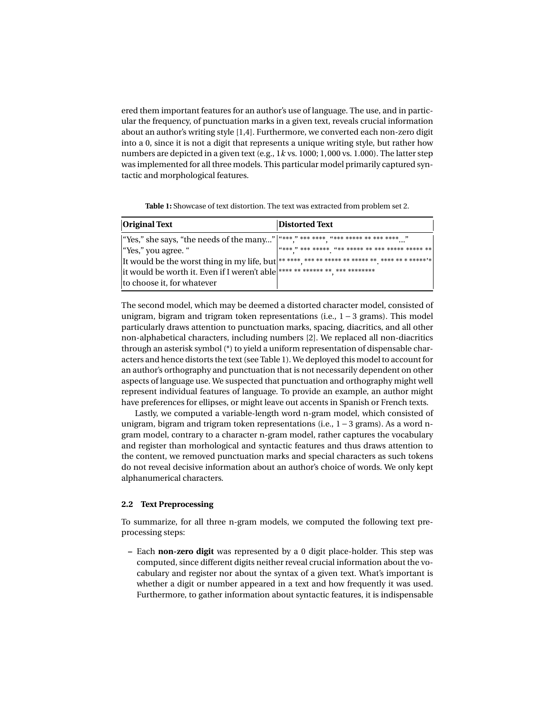ered them important features for an author's use of language. The use, and in particular the frequency, of punctuation marks in a given text, reveals crucial information about an author's writing style [\[1](#page-8-9)[,4\]](#page-8-1). Furthermore, we converted each non-zero digit into a 0, since it is not a digit that represents a unique writing style, but rather how numbers are depicted in a given text (e.g., 1*k* vs. 1000; 1, 000 vs. 1.000). The latter step was implemented for all three models. This particular model primarily captured syntactic and morphological features.

<span id="page-2-0"></span>

| <b>Original Text</b>                                                                | <b>Distorted Text</b> |
|-------------------------------------------------------------------------------------|-----------------------|
|                                                                                     |                       |
| "Yes," you agree. "                                                                 |                       |
|                                                                                     |                       |
| it would be worth it. Even if I weren't able <sup>******</sup> ******************** |                       |

**Table 1:** Showcase of text distortion. The text was extracted from problem set 2.

The second model, which may be deemed a distorted character model, consisted of unigram, bigram and trigram token representations (i.e.,  $1 - 3$  grams). This model particularly draws attention to punctuation marks, spacing, diacritics, and all other non-alphabetical characters, including numbers [\[2\]](#page-8-7). We replaced all non-diacritics through an asterisk symbol (\*) to yield a uniform representation of dispensable characters and hence distorts the text (see Table [1\)](#page-2-0). We deployed this model to account for an author's orthography and punctuation that is not necessarily dependent on other aspects of language use. We suspected that punctuation and orthography might well represent individual features of language. To provide an example, an author might have preferences for ellipses, or might leave out accents in Spanish or French texts.

Lastly, we computed a variable-length word n-gram model, which consisted of unigram, bigram and trigram token representations (i.e.,  $1 - 3$  grams). As a word ngram model, contrary to a character n-gram model, rather captures the vocabulary and register than morhological and syntactic features and thus draws attention to the content, we removed punctuation marks and special characters as such tokens do not reveal decisive information about an author's choice of words. We only kept alphanumerical characters.

## **2.2 Text Preprocessing**

to choose it, for whatever

To summarize, for all three n-gram models, we computed the following text preprocessing steps:

**–** Each **non-zero digit** was represented by a 0 digit place-holder. This step was computed, since different digits neither reveal crucial information about the vocabulary and register nor about the syntax of a given text. What's important is whether a digit or number appeared in a text and how frequently it was used. Furthermore, to gather information about syntactic features, it is indispensable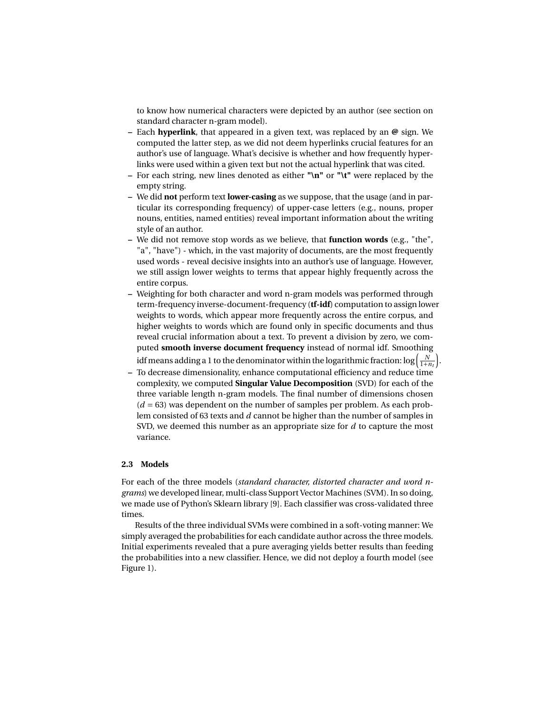to know how numerical characters were depicted by an author (see section on standard character n-gram model).

- **–** Each **hyperlink**, that appeared in a given text, was replaced by an **@** sign. We computed the latter step, as we did not deem hyperlinks crucial features for an author's use of language. What's decisive is whether and how frequently hyperlinks were used within a given text but not the actual hyperlink that was cited.
- **–** For each string, new lines denoted as either **"\n"** or **"\t"** were replaced by the empty string.
- **–** We did **not** perform text **lower-casing** as we suppose, that the usage (and in particular its corresponding frequency) of upper-case letters (e.g., nouns, proper nouns, entities, named entities) reveal important information about the writing style of an author.
- **–** We did not remove stop words as we believe, that **function words** (e.g., "the", "a", "have") - which, in the vast majority of documents, are the most frequently used words - reveal decisive insights into an author's use of language. However, we still assign lower weights to terms that appear highly frequently across the entire corpus.
- **–** Weighting for both character and word n-gram models was performed through term-frequency inverse-document-frequency (**tf-idf**) computation to assign lower weights to words, which appear more frequently across the entire corpus, and higher weights to words which are found only in specific documents and thus reveal crucial information about a text. To prevent a division by zero, we computed **smooth inverse document frequency** instead of normal idf. Smoothing idf means adding a 1 to the denominator within the logarithmic fraction:  $\log\left(\frac{N}{1+n_t}\right)$ .
- **–** To decrease dimensionality, enhance computational efficiency and reduce time complexity, we computed **Singular Value Decomposition** (SVD) for each of the three variable length n-gram models. The final number of dimensions chosen  $(d = 63)$  was dependent on the number of samples per problem. As each problem consisted of 63 texts and *d* cannot be higher than the number of samples in SVD, we deemed this number as an appropriate size for *d* to capture the most variance.

#### **2.3 Models**

For each of the three models (*standard character, distorted character and word ngrams*) we developed linear, multi-class Support Vector Machines (SVM). In so doing, we made use of Python's Sklearn library [\[9\]](#page-8-10). Each classifier was cross-validated three times.

Results of the three individual SVMs were combined in a soft-voting manner: We simply averaged the probabilities for each candidate author across the three models. Initial experiments revealed that a pure averaging yields better results than feeding the probabilities into a new classifier. Hence, we did not deploy a fourth model (see Figure [1\)](#page-4-0).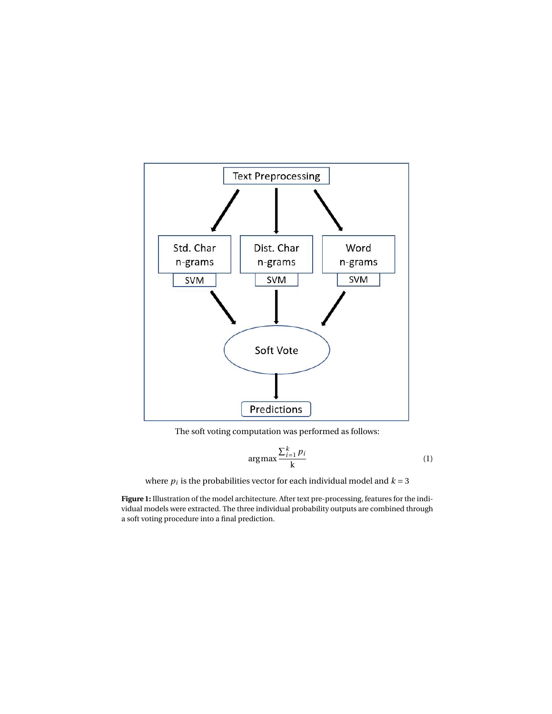<span id="page-4-0"></span>

The soft voting computation was performed as follows:

$$
\arg\max \frac{\sum_{i=1}^{k} p_i}{k} \tag{1}
$$

where  $p_i$  is the probabilities vector for each individual model and  $k = 3$ 

**Figure 1:** Illustration of the model architecture. After text pre-processing, features for the individual models were extracted. The three individual probability outputs are combined through a soft voting procedure into a final prediction.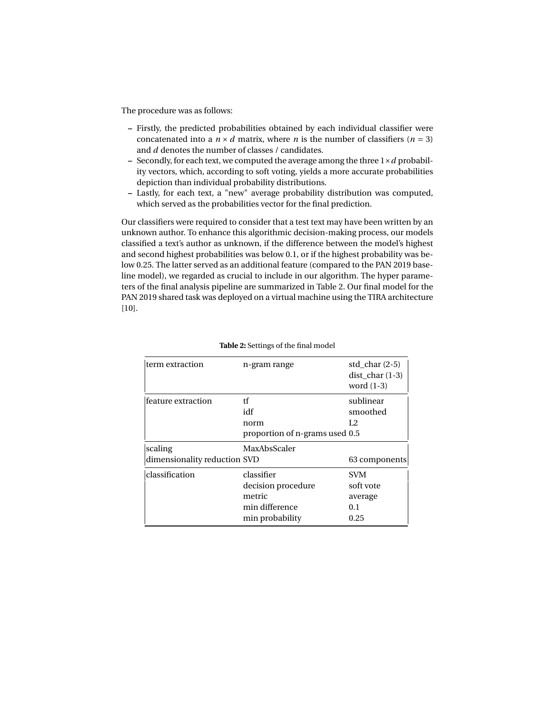The procedure was as follows:

- **–** Firstly, the predicted probabilities obtained by each individual classifier were concatenated into a  $n \times d$  matrix, where *n* is the number of classifiers ( $n = 3$ ) and *d* denotes the number of classes / candidates.
- **–** Secondly, for each text, we computed the average among the three 1×*d* probability vectors, which, according to soft voting, yields a more accurate probabilities depiction than individual probability distributions.
- **–** Lastly, for each text, a "new" average probability distribution was computed, which served as the probabilities vector for the final prediction.

Our classifiers were required to consider that a test text may have been written by an unknown author. To enhance this algorithmic decision-making process, our models classified a text's author as unknown, if the difference between the model's highest and second highest probabilities was below 0.1, or if the highest probability was below 0.25. The latter served as an additional feature (compared to the PAN 2019 baseline model), we regarded as crucial to include in our algorithm. The hyper parameters of the final analysis pipeline are summarized in Table [2.](#page-5-0) Our final model for the PAN 2019 shared task was deployed on a virtual machine using the TIRA architecture [\[10\]](#page-8-11).

<span id="page-5-0"></span>

| term extraction              | n-gram range                   | std char $(2-5)$<br>dist char $(1-3)$<br>word $(1-3)$ |  |  |
|------------------------------|--------------------------------|-------------------------------------------------------|--|--|
| feature extraction           | tf<br>idf<br>norm              | sublinear<br>smoothed<br>L2                           |  |  |
|                              | proportion of n-grams used 0.5 |                                                       |  |  |
| scaling                      | MaxAbsScaler                   |                                                       |  |  |
| dimensionality reduction SVD |                                | 63 components                                         |  |  |
| classification               | classifier                     | SVM                                                   |  |  |
|                              | decision procedure             | soft vote                                             |  |  |
|                              | metric                         | average                                               |  |  |
|                              | min difference                 | 0.1                                                   |  |  |
|                              | min probability                | 0.25                                                  |  |  |

#### **Table 2:** Settings of the final model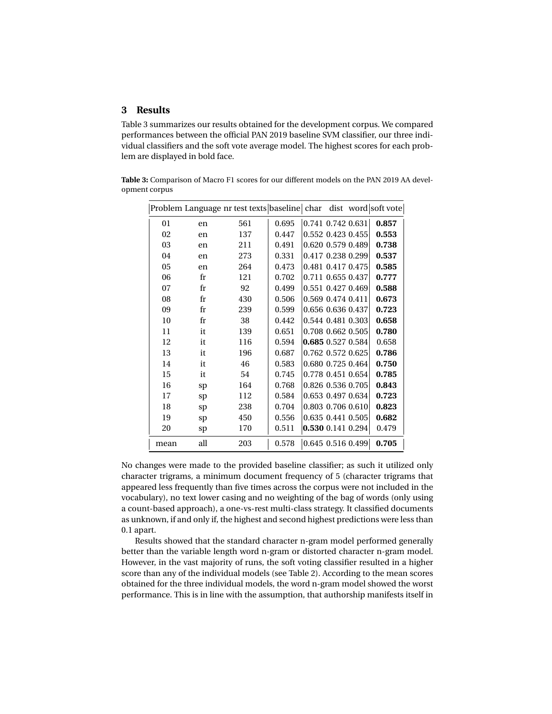# **3 Results**

Table [3](#page-6-0) summarizes our results obtained for the development corpus. We compared performances between the official PAN 2019 baseline SVM classifier, our three individual classifiers and the soft vote average model. The highest scores for each problem are displayed in bold face.

<span id="page-6-0"></span>**Table 3:** Comparison of Macro F1 scores for our different models on the PAN 2019 AA development corpus

|      |             | Problem Language nr test texts baseline char |       |                   |                     | dist word soft vote |
|------|-------------|----------------------------------------------|-------|-------------------|---------------------|---------------------|
| 01   | en          | 561                                          | 0.695 |                   | 0.741 0.742 0.631   | 0.857               |
| 02   | en          | 137                                          | 0.447 |                   | 0.552 0.423 0.455   | 0.553               |
| 03   | en          | 211                                          | 0.491 |                   | 0.620 0.579 0.489   | 0.738               |
| 04   | en          | 273                                          | 0.331 |                   | 0.417 0.238 0.299   | 0.537               |
| 05   | en          | 264                                          | 0.473 |                   | 0.481 0.417 0.475   | 0.585               |
| 06   | fr          | 121                                          | 0.702 |                   | 0.711 0.655 0.437   | 0.777               |
| 07   | $_{\rm fr}$ | 92                                           | 0.499 |                   | 0.551 0.427 0.469   | 0.588               |
| 08   | fr          | 430                                          | 0.506 | 0.569 0.474 0.411 |                     | 0.673               |
| 09   | fr          | 239                                          | 0.599 |                   | 0.656 0.636 0.437   | 0.723               |
| 10   | fr          | 38                                           | 0.442 |                   | 0.544 0.481 0.303   | 0.658               |
| 11   | it          | 139                                          | 0.651 |                   | 0.708 0.662 0.505   | 0.780               |
| 12   | it          | 116                                          | 0.594 |                   | 0.685 0.527 0.584   | 0.658               |
| 13   | it          | 196                                          | 0.687 |                   | 0.762 0.572 0.625   | 0.786               |
| 14   | it          | 46                                           | 0.583 |                   | 0.680 0.725 0.464   | 0.750               |
| 15   | it          | 54                                           | 0.745 |                   | 0.778 0.451 0.654   | 0.785               |
| 16   | sp          | 164                                          | 0.768 |                   | 0.826 0.536 0.705   | 0.843               |
| 17   | sp          | 112                                          | 0.584 |                   | 0.653 0.497 0.634   | 0.723               |
| 18   | sp          | 238                                          | 0.704 |                   | 0.803 0.706 0.610   | 0.823               |
| 19   | sp          | 450                                          | 0.556 |                   | 0.635 0.441 0.505   | 0.682               |
| 20   | sp          | 170                                          | 0.511 |                   | 0.530 0.141 0.294   | 0.479               |
| mean | all         | 203                                          | 0.578 |                   | $0.645$ 0.516 0.499 | 0.705               |

No changes were made to the provided baseline classifier; as such it utilized only character trigrams, a minimum document frequency of 5 (character trigrams that appeared less frequently than five times across the corpus were not included in the vocabulary), no text lower casing and no weighting of the bag of words (only using a count-based approach), a one-vs-rest multi-class strategy. It classified documents as unknown, if and only if, the highest and second highest predictions were less than 0.1 apart.

Results showed that the standard character n-gram model performed generally better than the variable length word n-gram or distorted character n-gram model. However, in the vast majority of runs, the soft voting classifier resulted in a higher score than any of the individual models (see Table 2). According to the mean scores obtained for the three individual models, the word n-gram model showed the worst performance. This is in line with the assumption, that authorship manifests itself in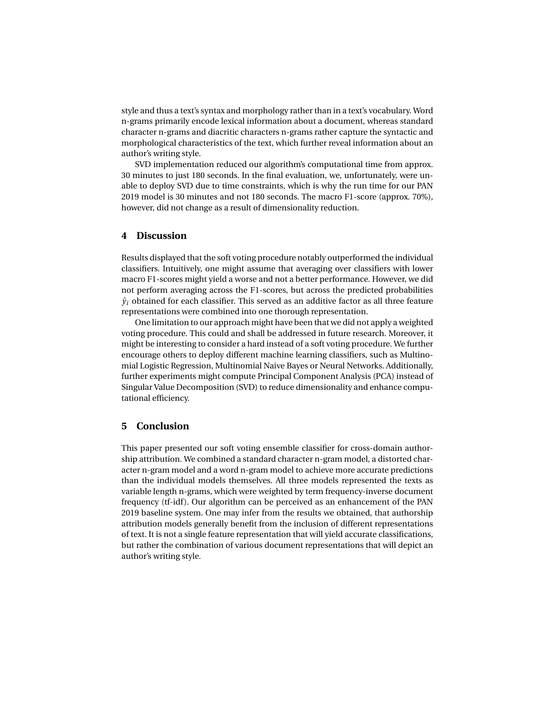style and thus a text's syntax and morphology rather than in a text's vocabulary. Word n-grams primarily encode lexical information about a document, whereas standard character n-grams and diacritic characters n-grams rather capture the syntactic and morphological characteristics of the text, which further reveal information about an author's writing style.

SVD implementation reduced our algorithm's computational time from approx. 30 minutes to just 180 seconds. In the final evaluation, we, unfortunately, were unable to deploy SVD due to time constraints, which is why the run time for our PAN 2019 model is 30 minutes and not 180 seconds. The macro F1-score (approx. 70%), however, did not change as a result of dimensionality reduction.

# **4 Discussion**

Results displayed that the soft voting procedure notably outperformed the individual classifiers. Intuitively, one might assume that averaging over classifiers with lower macro F1-scores might yield a worse and not a better performance. However, we did not perform averaging across the F1-scores, but across the predicted probabilities  $\hat{y}_i$  obtained for each classifier. This served as an additive factor as all three feature representations were combined into one thorough representation.

One limitation to our approach might have been that we did not apply a weighted voting procedure. This could and shall be addressed in future research. Moreover, it might be interesting to consider a hard instead of a soft voting procedure. We further encourage others to deploy different machine learning classifiers, such as Multinomial Logistic Regression, Multinomial Naive Bayes or Neural Networks. Additionally, further experiments might compute Principal Component Analysis (PCA) instead of Singular Value Decomposition (SVD) to reduce dimensionality and enhance computational efficiency.

## **5 Conclusion**

This paper presented our soft voting ensemble classifier for cross-domain authorship attribution. We combined a standard character n-gram model, a distorted character n-gram model and a word n-gram model to achieve more accurate predictions than the individual models themselves. All three models represented the texts as variable length n-grams, which were weighted by term frequency-inverse document frequency (tf-idf). Our algorithm can be perceived as an enhancement of the PAN 2019 baseline system. One may infer from the results we obtained, that authorship attribution models generally benefit from the inclusion of different representations of text. It is not a single feature representation that will yield accurate classifications, but rather the combination of various document representations that will depict an author's writing style.